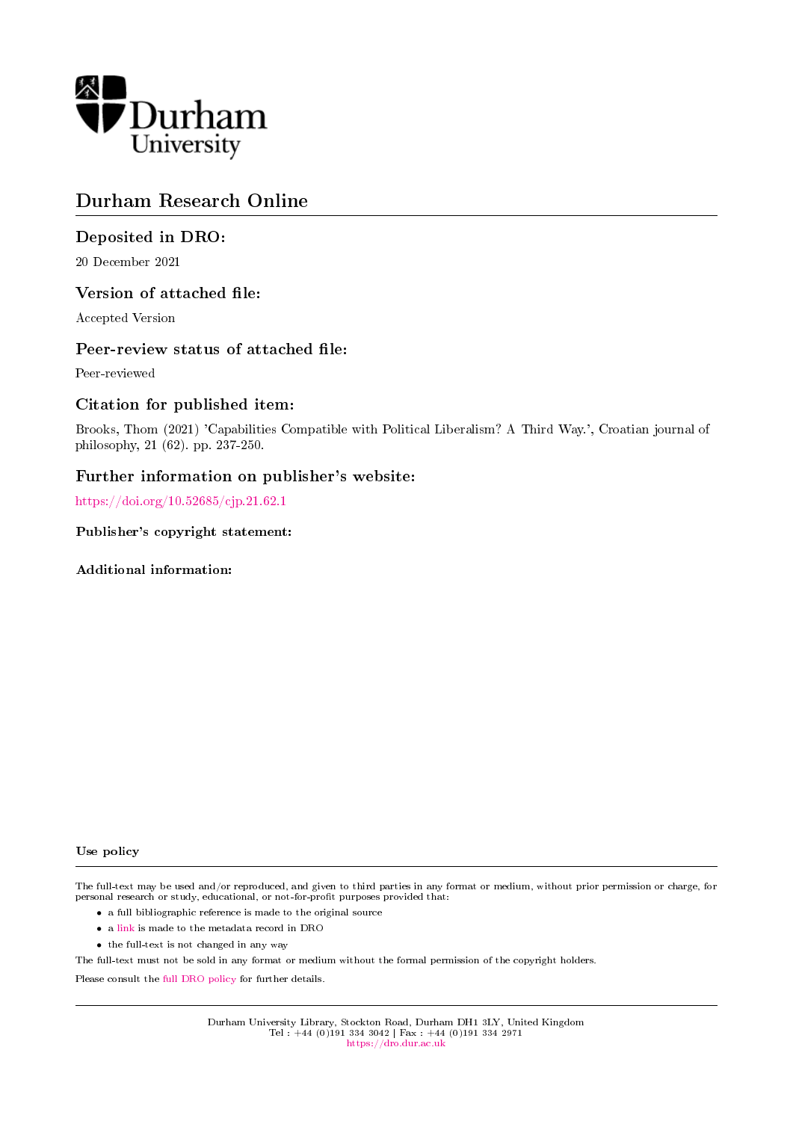

## Durham Research Online

### Deposited in DRO:

20 December 2021

### Version of attached file:

Accepted Version

### Peer-review status of attached file:

Peer-reviewed

### Citation for published item:

Brooks, Thom (2021) 'Capabilities Compatible with Political Liberalism? A Third Way.', Croatian journal of philosophy, 21 (62). pp. 237-250.

### Further information on publisher's website:

<https://doi.org/10.52685/cjp.21.62.1>

### Publisher's copyright statement:

Additional information:

#### Use policy

The full-text may be used and/or reproduced, and given to third parties in any format or medium, without prior permission or charge, for personal research or study, educational, or not-for-profit purposes provided that:

- a full bibliographic reference is made to the original source
- a [link](http://dro.dur.ac.uk/34927/) is made to the metadata record in DRO
- the full-text is not changed in any way

The full-text must not be sold in any format or medium without the formal permission of the copyright holders.

Please consult the [full DRO policy](https://dro.dur.ac.uk/policies/usepolicy.pdf) for further details.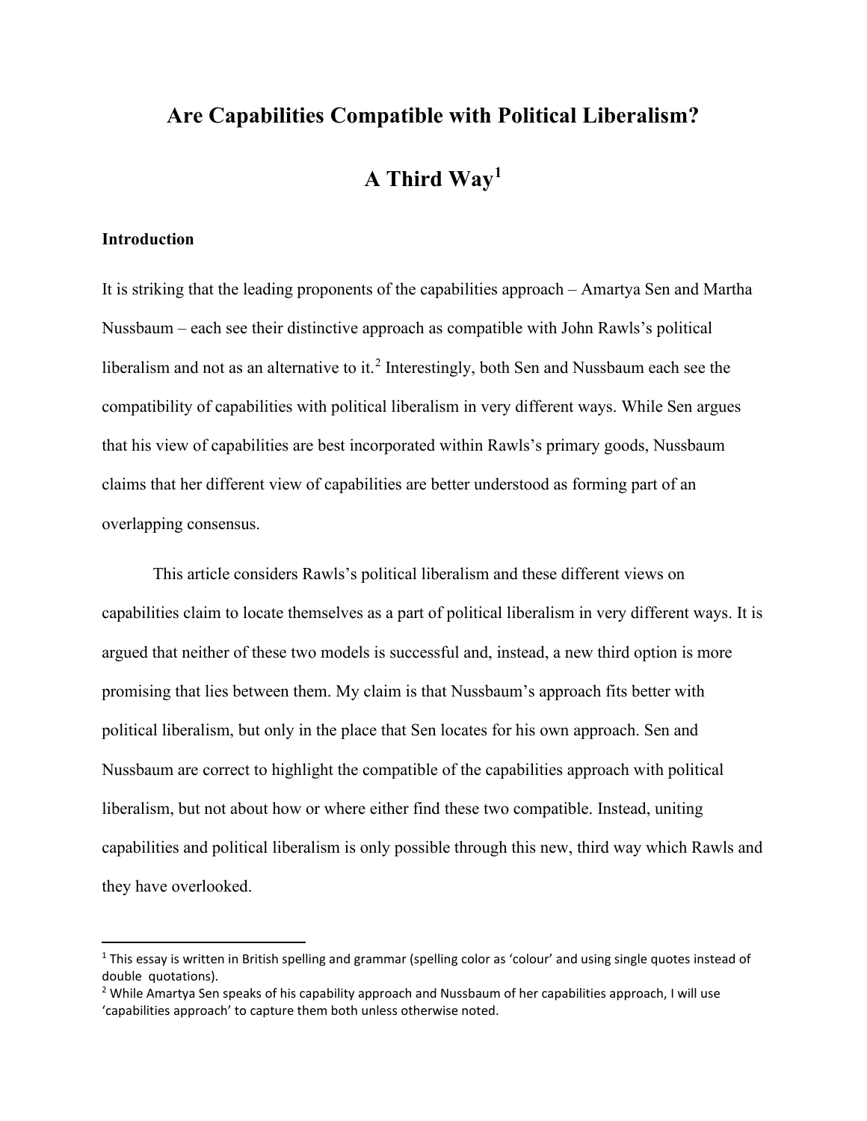# **Are Capabilities Compatible with Political Liberalism? A Third Way[1](#page-1-0)**

### **Introduction**

It is striking that the leading proponents of the capabilities approach – Amartya Sen and Martha Nussbaum – each see their distinctive approach as compatible with John Rawls's political liberalism and not as an alternative to it.<sup>[2](#page-1-1)</sup> Interestingly, both Sen and Nussbaum each see the compatibility of capabilities with political liberalism in very different ways. While Sen argues that his view of capabilities are best incorporated within Rawls's primary goods, Nussbaum claims that her different view of capabilities are better understood as forming part of an overlapping consensus.

This article considers Rawls's political liberalism and these different views on capabilities claim to locate themselves as a part of political liberalism in very different ways. It is argued that neither of these two models is successful and, instead, a new third option is more promising that lies between them. My claim is that Nussbaum's approach fits better with political liberalism, but only in the place that Sen locates for his own approach. Sen and Nussbaum are correct to highlight the compatible of the capabilities approach with political liberalism, but not about how or where either find these two compatible. Instead, uniting capabilities and political liberalism is only possible through this new, third way which Rawls and they have overlooked.

<span id="page-1-0"></span> $1$  This essay is written in British spelling and grammar (spelling color as 'colour' and using single quotes instead of double quotations).

<span id="page-1-1"></span><sup>&</sup>lt;sup>2</sup> While Amartya Sen speaks of his capability approach and Nussbaum of her capabilities approach, I will use 'capabilities approach' to capture them both unless otherwise noted.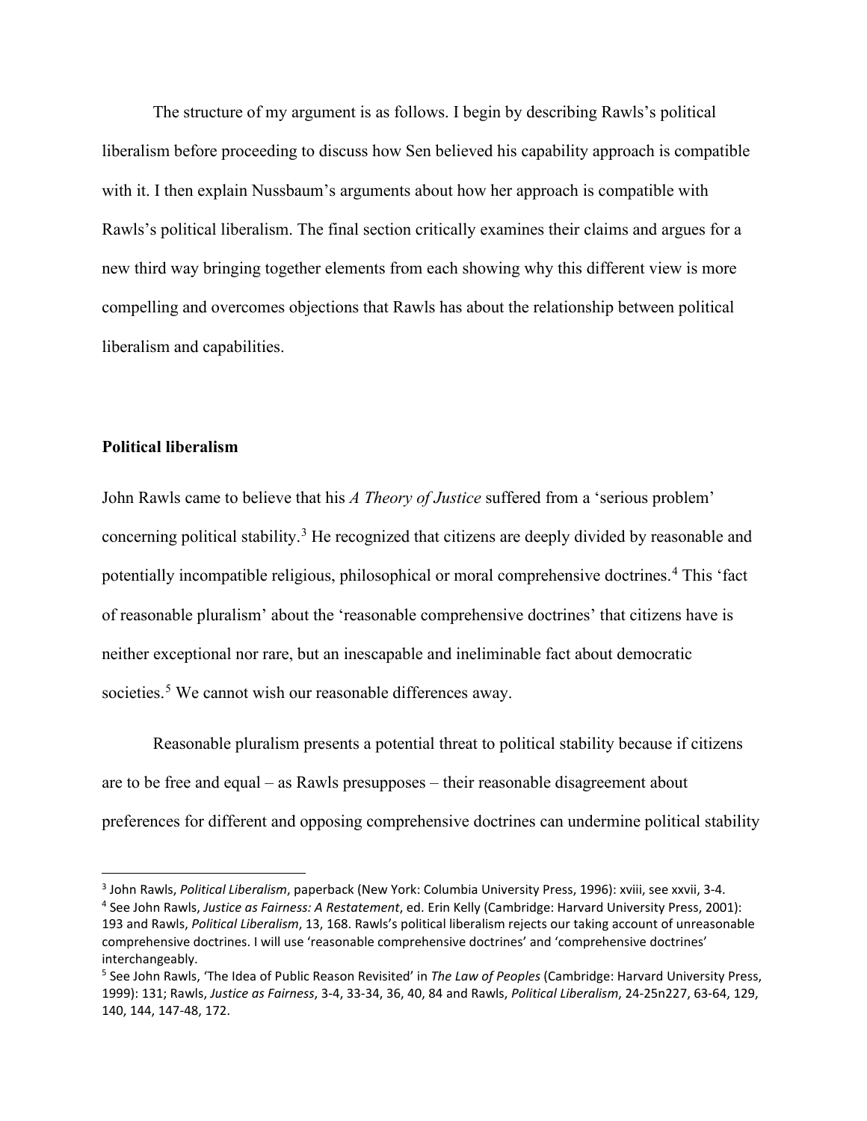The structure of my argument is as follows. I begin by describing Rawls's political liberalism before proceeding to discuss how Sen believed his capability approach is compatible with it. I then explain Nussbaum's arguments about how her approach is compatible with Rawls's political liberalism. The final section critically examines their claims and argues for a new third way bringing together elements from each showing why this different view is more compelling and overcomes objections that Rawls has about the relationship between political liberalism and capabilities.

### **Political liberalism**

John Rawls came to believe that his *A Theory of Justice* suffered from a 'serious problem' concerning political stability.<sup>[3](#page-2-0)</sup> He recognized that citizens are deeply divided by reasonable and potentially incompatible religious, philosophical or moral comprehensive doctrines.<sup>[4](#page-2-1)</sup> This 'fact of reasonable pluralism' about the 'reasonable comprehensive doctrines' that citizens have is neither exceptional nor rare, but an inescapable and ineliminable fact about democratic societies.<sup>[5](#page-2-2)</sup> We cannot wish our reasonable differences away.

Reasonable pluralism presents a potential threat to political stability because if citizens are to be free and equal – as Rawls presupposes – their reasonable disagreement about preferences for different and opposing comprehensive doctrines can undermine political stability

<span id="page-2-0"></span><sup>3</sup> John Rawls, *Political Liberalism*, paperback (New York: Columbia University Press, 1996): xviii, see xxvii, 3-4.

<span id="page-2-1"></span><sup>4</sup> See John Rawls, *Justice as Fairness: A Restatement*, ed. Erin Kelly (Cambridge: Harvard University Press, 2001): 193 and Rawls, *Political Liberalism*, 13, 168. Rawls's political liberalism rejects our taking account of unreasonable comprehensive doctrines. I will use 'reasonable comprehensive doctrines' and 'comprehensive doctrines' interchangeably.

<span id="page-2-2"></span><sup>5</sup> See John Rawls, 'The Idea of Public Reason Revisited' in *The Law of Peoples* (Cambridge: Harvard University Press, 1999): 131; Rawls, *Justice as Fairness*, 3-4, 33-34, 36, 40, 84 and Rawls, *Political Liberalism*, 24-25n227, 63-64, 129, 140, 144, 147-48, 172.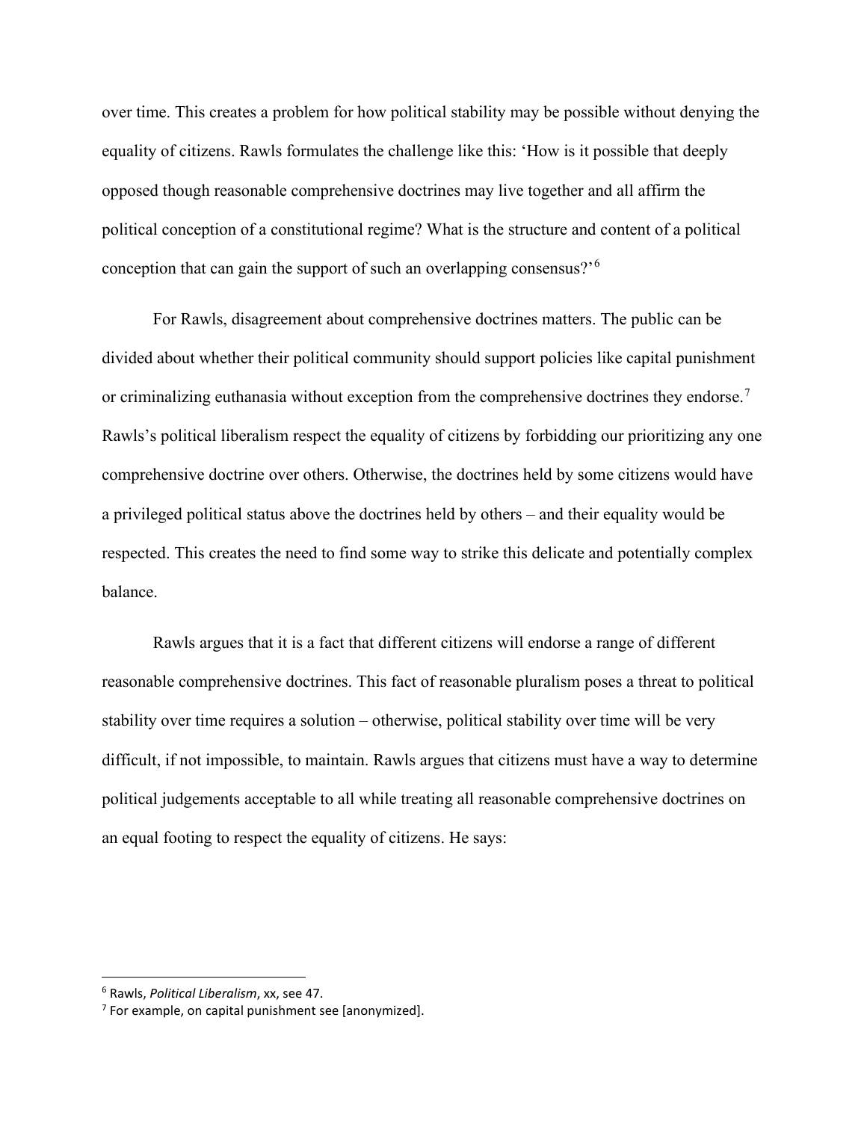over time. This creates a problem for how political stability may be possible without denying the equality of citizens. Rawls formulates the challenge like this: 'How is it possible that deeply opposed though reasonable comprehensive doctrines may live together and all affirm the political conception of a constitutional regime? What is the structure and content of a political conception that can gain the support of such an overlapping consensus?'[6](#page-3-0)

For Rawls, disagreement about comprehensive doctrines matters. The public can be divided about whether their political community should support policies like capital punishment or criminalizing euthanasia without exception from the comprehensive doctrines they endorse.<sup>[7](#page-3-1)</sup> Rawls's political liberalism respect the equality of citizens by forbidding our prioritizing any one comprehensive doctrine over others. Otherwise, the doctrines held by some citizens would have a privileged political status above the doctrines held by others – and their equality would be respected. This creates the need to find some way to strike this delicate and potentially complex balance.

Rawls argues that it is a fact that different citizens will endorse a range of different reasonable comprehensive doctrines. This fact of reasonable pluralism poses a threat to political stability over time requires a solution – otherwise, political stability over time will be very difficult, if not impossible, to maintain. Rawls argues that citizens must have a way to determine political judgements acceptable to all while treating all reasonable comprehensive doctrines on an equal footing to respect the equality of citizens. He says:

<span id="page-3-0"></span><sup>6</sup> Rawls, *Political Liberalism*, xx, see 47.

<span id="page-3-1"></span> $7$  For example, on capital punishment see [anonymized].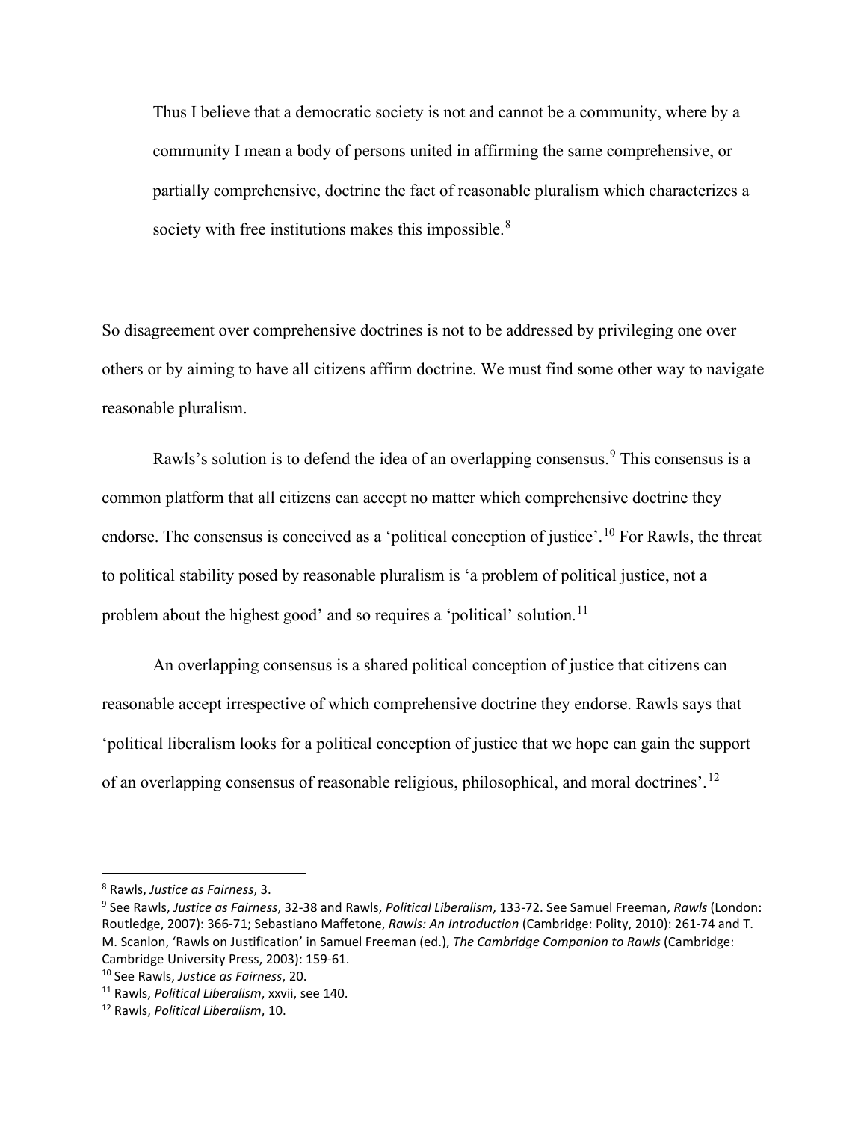Thus I believe that a democratic society is not and cannot be a community, where by a community I mean a body of persons united in affirming the same comprehensive, or partially comprehensive, doctrine the fact of reasonable pluralism which characterizes a society with free institutions makes this impossible.<sup>[8](#page-4-0)</sup>

So disagreement over comprehensive doctrines is not to be addressed by privileging one over others or by aiming to have all citizens affirm doctrine. We must find some other way to navigate reasonable pluralism.

Rawls's solution is to defend the idea of an overlapping consensus.<sup>[9](#page-4-1)</sup> This consensus is a common platform that all citizens can accept no matter which comprehensive doctrine they endorse. The consensus is conceived as a 'political conception of justice'.<sup>[10](#page-4-2)</sup> For Rawls, the threat to political stability posed by reasonable pluralism is 'a problem of political justice, not a problem about the highest good' and so requires a 'political' solution.<sup>[11](#page-4-3)</sup>

An overlapping consensus is a shared political conception of justice that citizens can reasonable accept irrespective of which comprehensive doctrine they endorse. Rawls says that 'political liberalism looks for a political conception of justice that we hope can gain the support of an overlapping consensus of reasonable religious, philosophical, and moral doctrines'.[12](#page-4-4)

<span id="page-4-0"></span><sup>8</sup> Rawls, *Justice as Fairness*, 3.

<span id="page-4-1"></span><sup>9</sup> See Rawls, *Justice as Fairness*, 32-38 and Rawls, *Political Liberalism*, 133-72. See Samuel Freeman, *Rawls* (London: Routledge, 2007): 366-71; Sebastiano Maffetone, *Rawls: An Introduction* (Cambridge: Polity, 2010): 261-74 and T. M. Scanlon, 'Rawls on Justification' in Samuel Freeman (ed.), *The Cambridge Companion to Rawls* (Cambridge: Cambridge University Press, 2003): 159-61.

<span id="page-4-2"></span><sup>10</sup> See Rawls, *Justice as Fairness*, 20.

<span id="page-4-3"></span><sup>11</sup> Rawls, *Political Liberalism*, xxvii, see 140.

<span id="page-4-4"></span><sup>12</sup> Rawls, *Political Liberalism*, 10.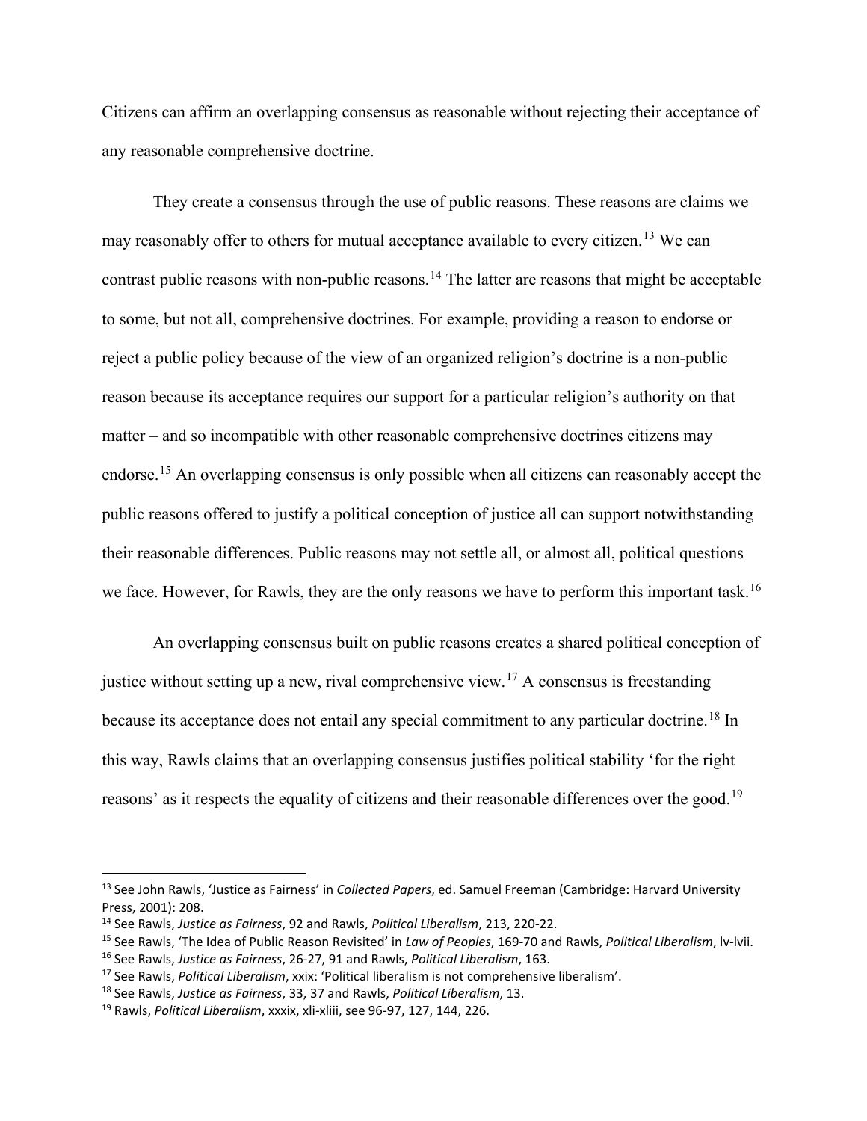Citizens can affirm an overlapping consensus as reasonable without rejecting their acceptance of any reasonable comprehensive doctrine.

They create a consensus through the use of public reasons. These reasons are claims we may reasonably offer to others for mutual acceptance available to every citizen.<sup>[13](#page-5-0)</sup> We can contrast public reasons with non-public reasons.<sup>[14](#page-5-1)</sup> The latter are reasons that might be acceptable to some, but not all, comprehensive doctrines. For example, providing a reason to endorse or reject a public policy because of the view of an organized religion's doctrine is a non-public reason because its acceptance requires our support for a particular religion's authority on that matter – and so incompatible with other reasonable comprehensive doctrines citizens may endorse.<sup>[15](#page-5-2)</sup> An overlapping consensus is only possible when all citizens can reasonably accept the public reasons offered to justify a political conception of justice all can support notwithstanding their reasonable differences. Public reasons may not settle all, or almost all, political questions we face. However, for Rawls, they are the only reasons we have to perform this important task.<sup>[16](#page-5-3)</sup>

An overlapping consensus built on public reasons creates a shared political conception of justice without setting up a new, rival comprehensive view.<sup>[17](#page-5-4)</sup> A consensus is freestanding because its acceptance does not entail any special commitment to any particular doctrine.<sup>[18](#page-5-5)</sup> In this way, Rawls claims that an overlapping consensus justifies political stability 'for the right reasons' as it respects the equality of citizens and their reasonable differences over the good.<sup>[19](#page-5-6)</sup>

<span id="page-5-0"></span><sup>13</sup> See John Rawls, 'Justice as Fairness' in *Collected Papers*, ed. Samuel Freeman (Cambridge: Harvard University Press, 2001): 208.

<span id="page-5-1"></span><sup>14</sup> See Rawls, *Justice as Fairness*, 92 and Rawls, *Political Liberalism*, 213, 220-22.

<span id="page-5-2"></span><sup>15</sup> See Rawls, 'The Idea of Public Reason Revisited' in *Law of Peoples*, 169-70 and Rawls, *Political Liberalism*, lv-lvii.

<span id="page-5-3"></span><sup>16</sup> See Rawls, *Justice as Fairness*, 26-27, 91 and Rawls, *Political Liberalism*, 163.

<span id="page-5-4"></span><sup>17</sup> See Rawls, *Political Liberalism*, xxix: 'Political liberalism is not comprehensive liberalism'.

<span id="page-5-5"></span><sup>18</sup> See Rawls, *Justice as Fairness*, 33, 37 and Rawls, *Political Liberalism*, 13.

<span id="page-5-6"></span><sup>19</sup> Rawls, *Political Liberalism*, xxxix, xli-xliii, see 96-97, 127, 144, 226.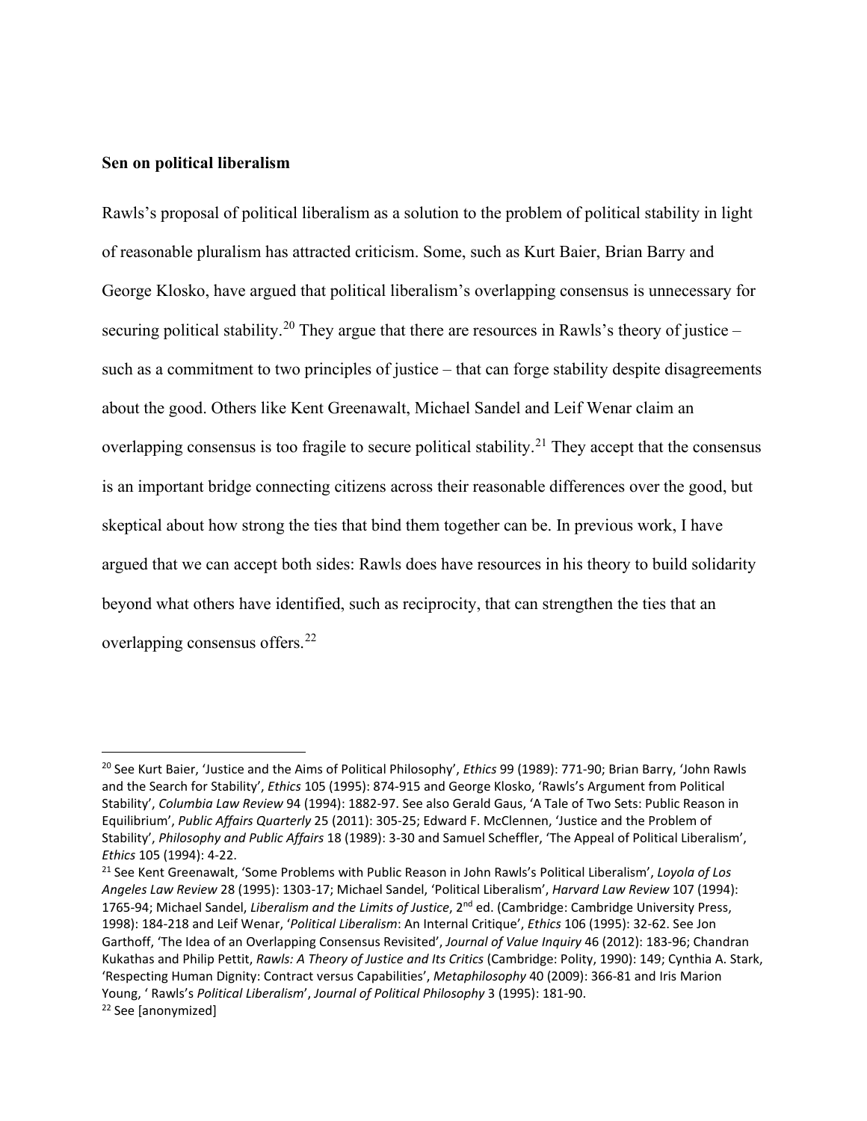### **Sen on political liberalism**

Rawls's proposal of political liberalism as a solution to the problem of political stability in light of reasonable pluralism has attracted criticism. Some, such as Kurt Baier, Brian Barry and George Klosko, have argued that political liberalism's overlapping consensus is unnecessary for securing political stability.<sup>[20](#page-6-0)</sup> They argue that there are resources in Rawls's theory of justice – such as a commitment to two principles of justice – that can forge stability despite disagreements about the good. Others like Kent Greenawalt, Michael Sandel and Leif Wenar claim an overlapping consensus is too fragile to secure political stability.<sup>[21](#page-6-1)</sup> They accept that the consensus is an important bridge connecting citizens across their reasonable differences over the good, but skeptical about how strong the ties that bind them together can be. In previous work, I have argued that we can accept both sides: Rawls does have resources in his theory to build solidarity beyond what others have identified, such as reciprocity, that can strengthen the ties that an overlapping consensus offers.<sup>[22](#page-6-2)</sup>

<span id="page-6-0"></span><sup>20</sup> See Kurt Baier, 'Justice and the Aims of Political Philosophy', *Ethics* 99 (1989): 771-90; Brian Barry, 'John Rawls and the Search for Stability', *Ethics* 105 (1995): 874-915 and George Klosko, 'Rawls's Argument from Political Stability', *Columbia Law Review* 94 (1994): 1882-97. See also Gerald Gaus, 'A Tale of Two Sets: Public Reason in Equilibrium', *Public Affairs Quarterly* 25 (2011): 305-25; Edward F. McClennen, 'Justice and the Problem of Stability', *Philosophy and Public Affairs* 18 (1989): 3-30 and Samuel Scheffler, 'The Appeal of Political Liberalism', *Ethics* 105 (1994): 4-22.

<span id="page-6-2"></span><span id="page-6-1"></span><sup>21</sup> See Kent Greenawalt, 'Some Problems with Public Reason in John Rawls's Political Liberalism', *Loyola of Los Angeles Law Review* 28 (1995): 1303-17; Michael Sandel, 'Political Liberalism', *Harvard Law Review* 107 (1994): 1765-94; Michael Sandel, *Liberalism and the Limits of Justice*, 2nd ed. (Cambridge: Cambridge University Press, 1998): 184-218 and Leif Wenar, '*Political Liberalism*: An Internal Critique', *Ethics* 106 (1995): 32-62. See Jon Garthoff, 'The Idea of an Overlapping Consensus Revisited', *Journal of Value Inquiry* 46 (2012): 183-96; Chandran Kukathas and Philip Pettit, *Rawls: A Theory of Justice and Its Critics* (Cambridge: Polity, 1990): 149; Cynthia A. Stark, 'Respecting Human Dignity: Contract versus Capabilities', *Metaphilosophy* 40 (2009): 366-81 and Iris Marion Young, ' Rawls's *Political Liberalism*', *Journal of Political Philosophy* 3 (1995): 181-90. <sup>22</sup> See [anonymized]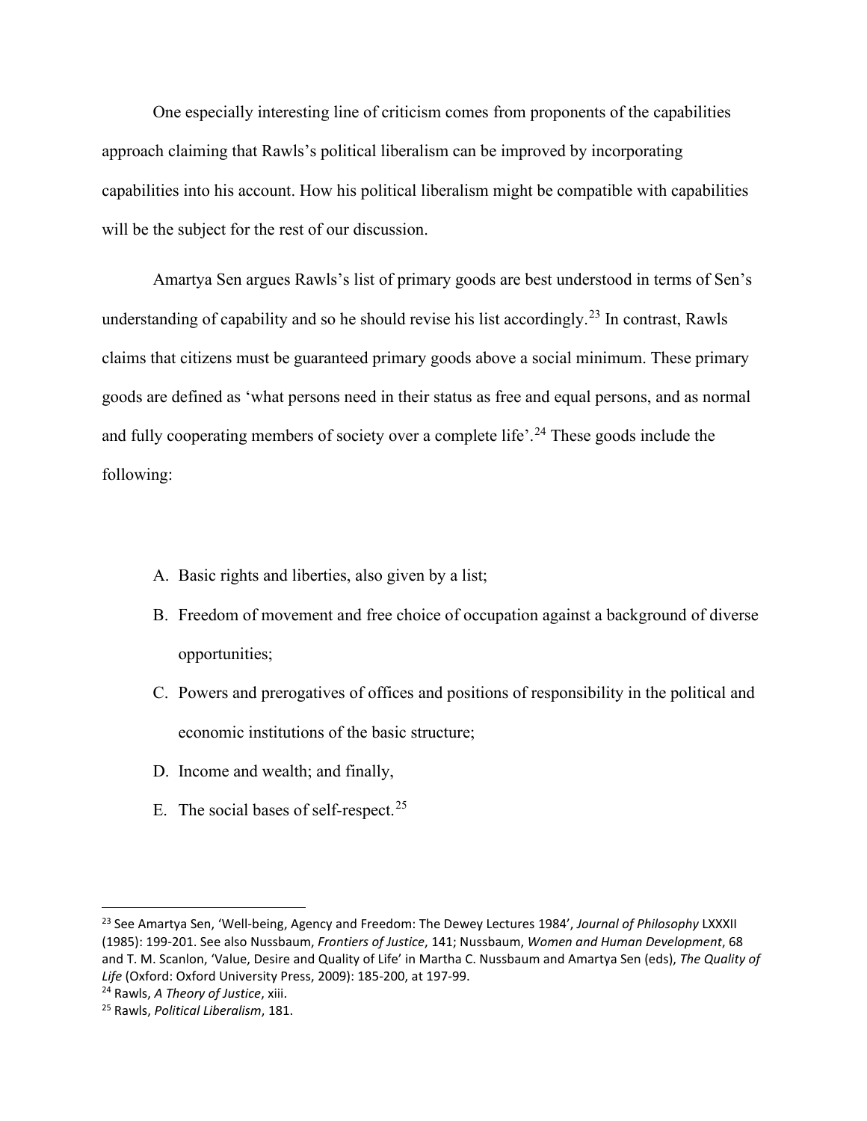One especially interesting line of criticism comes from proponents of the capabilities approach claiming that Rawls's political liberalism can be improved by incorporating capabilities into his account. How his political liberalism might be compatible with capabilities will be the subject for the rest of our discussion.

Amartya Sen argues Rawls's list of primary goods are best understood in terms of Sen's understanding of capability and so he should revise his list accordingly.<sup>[23](#page-7-0)</sup> In contrast, Rawls claims that citizens must be guaranteed primary goods above a social minimum. These primary goods are defined as 'what persons need in their status as free and equal persons, and as normal and fully cooperating members of society over a complete life'.<sup>[24](#page-7-1)</sup> These goods include the following:

- A. Basic rights and liberties, also given by a list;
- B. Freedom of movement and free choice of occupation against a background of diverse opportunities;
- C. Powers and prerogatives of offices and positions of responsibility in the political and economic institutions of the basic structure;
- D. Income and wealth; and finally,
- E. The social bases of self-respect.<sup>[25](#page-7-2)</sup>

<span id="page-7-0"></span><sup>23</sup> See Amartya Sen, 'Well-being, Agency and Freedom: The Dewey Lectures 1984', *Journal of Philosophy* LXXXII (1985): 199-201. See also Nussbaum, *Frontiers of Justice*, 141; Nussbaum, *Women and Human Development*, 68 and T. M. Scanlon, 'Value, Desire and Quality of Life' in Martha C. Nussbaum and Amartya Sen (eds), *The Quality of Life* (Oxford: Oxford University Press, 2009): 185-200, at 197-99.

<span id="page-7-1"></span><sup>24</sup> Rawls, *A Theory of Justice*, xiii.

<span id="page-7-2"></span><sup>25</sup> Rawls, *Political Liberalism*, 181.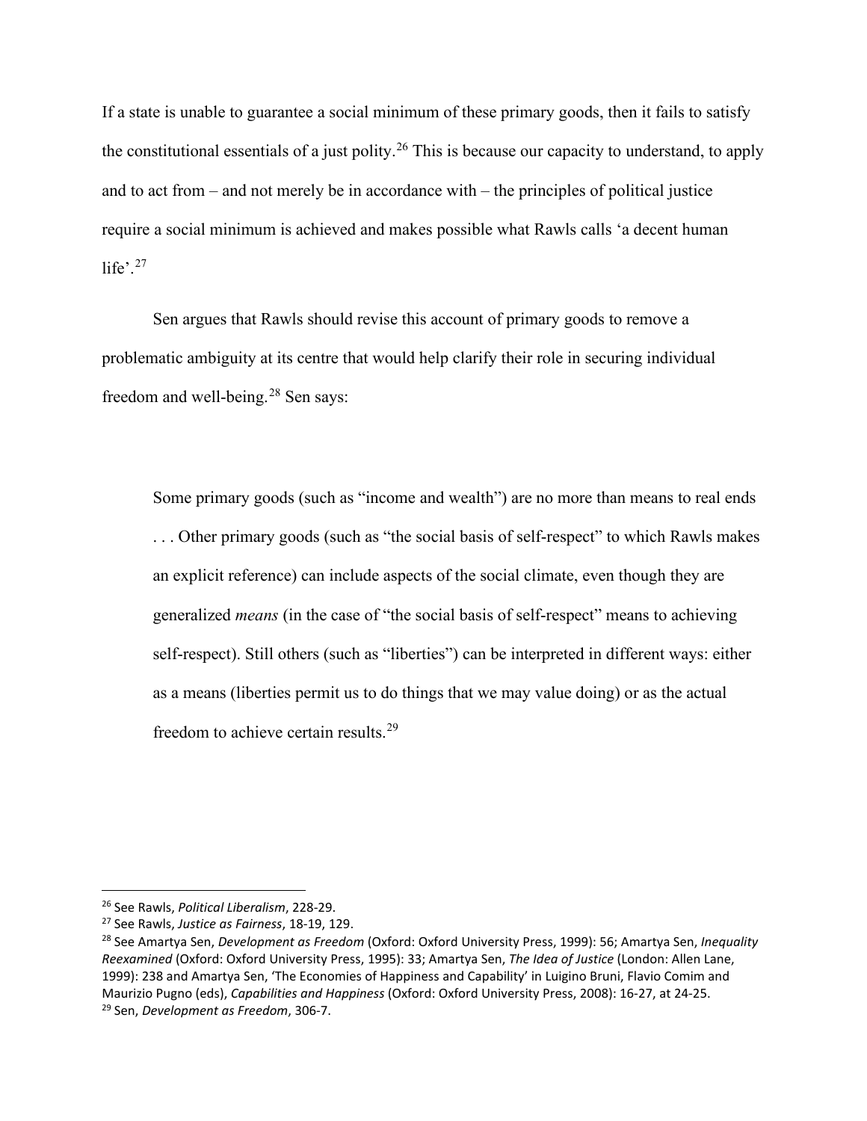If a state is unable to guarantee a social minimum of these primary goods, then it fails to satisfy the constitutional essentials of a just polity.<sup>[26](#page-8-0)</sup> This is because our capacity to understand, to apply and to act from – and not merely be in accordance with – the principles of political justice require a social minimum is achieved and makes possible what Rawls calls 'a decent human life'. $27$ 

Sen argues that Rawls should revise this account of primary goods to remove a problematic ambiguity at its centre that would help clarify their role in securing individual freedom and well-being.<sup>[28](#page-8-2)</sup> Sen says:

Some primary goods (such as "income and wealth") are no more than means to real ends . . . Other primary goods (such as "the social basis of self-respect" to which Rawls makes an explicit reference) can include aspects of the social climate, even though they are generalized *means* (in the case of "the social basis of self-respect" means to achieving self-respect). Still others (such as "liberties") can be interpreted in different ways: either as a means (liberties permit us to do things that we may value doing) or as the actual freedom to achieve certain results.<sup>[29](#page-8-3)</sup>

<span id="page-8-0"></span><sup>26</sup> See Rawls, *Political Liberalism*, 228-29.

<span id="page-8-1"></span><sup>27</sup> See Rawls, *Justice as Fairness*, 18-19, 129.

<span id="page-8-3"></span><span id="page-8-2"></span><sup>28</sup> See Amartya Sen, *Development as Freedom* (Oxford: Oxford University Press, 1999): 56; Amartya Sen, *Inequality Reexamined* (Oxford: Oxford University Press, 1995): 33; Amartya Sen, *The Idea of Justice* (London: Allen Lane, 1999): 238 and Amartya Sen, 'The Economies of Happiness and Capability' in Luigino Bruni, Flavio Comim and Maurizio Pugno (eds), *Capabilities and Happiness* (Oxford: Oxford University Press, 2008): 16-27, at 24-25. <sup>29</sup> Sen, *Development as Freedom*, 306-7.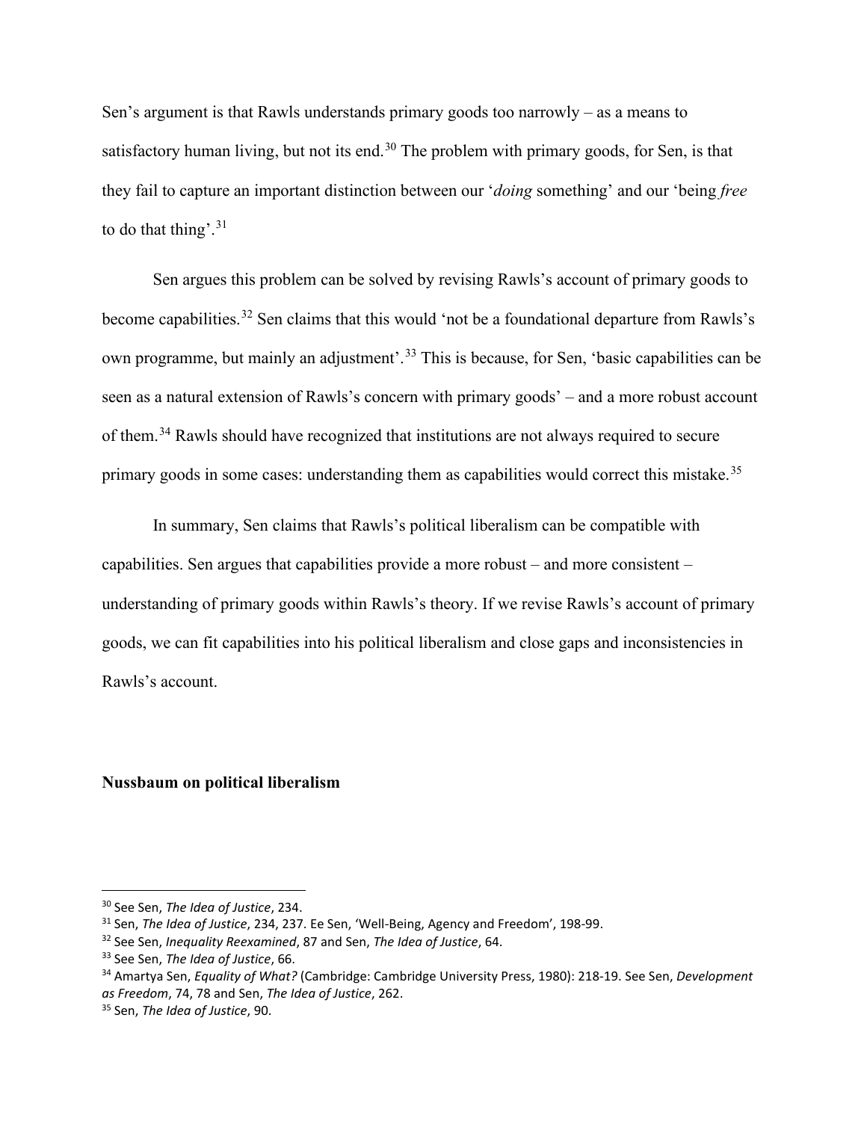Sen's argument is that Rawls understands primary goods too narrowly – as a means to satisfactory human living, but not its end.<sup>[30](#page-9-0)</sup> The problem with primary goods, for Sen, is that they fail to capture an important distinction between our '*doing* something' and our 'being *free* to do that thing'. $31$ 

Sen argues this problem can be solved by revising Rawls's account of primary goods to become capabilities.<sup>[32](#page-9-2)</sup> Sen claims that this would 'not be a foundational departure from Rawls's own programme, but mainly an adjustment'.<sup>[33](#page-9-3)</sup> This is because, for Sen, 'basic capabilities can be seen as a natural extension of Rawls's concern with primary goods' – and a more robust account of them.[34](#page-9-4) Rawls should have recognized that institutions are not always required to secure primary goods in some cases: understanding them as capabilities would correct this mistake.<sup>[35](#page-9-5)</sup>

In summary, Sen claims that Rawls's political liberalism can be compatible with capabilities. Sen argues that capabilities provide a more robust – and more consistent – understanding of primary goods within Rawls's theory. If we revise Rawls's account of primary goods, we can fit capabilities into his political liberalism and close gaps and inconsistencies in Rawls's account.

### **Nussbaum on political liberalism**

<span id="page-9-0"></span><sup>30</sup> See Sen, *The Idea of Justice*, 234.

<span id="page-9-1"></span><sup>31</sup> Sen, *The Idea of Justice*, 234, 237. Ee Sen, 'Well-Being, Agency and Freedom', 198-99.

<span id="page-9-2"></span><sup>32</sup> See Sen, *Inequality Reexamined*, 87 and Sen, *The Idea of Justice*, 64.

<span id="page-9-3"></span><sup>33</sup> See Sen, *The Idea of Justice*, 66.

<span id="page-9-4"></span><sup>34</sup> Amartya Sen, *Equality of What?* (Cambridge: Cambridge University Press, 1980): 218-19. See Sen, *Development as Freedom*, 74, 78 and Sen, *The Idea of Justice*, 262.

<span id="page-9-5"></span><sup>35</sup> Sen, *The Idea of Justice*, 90.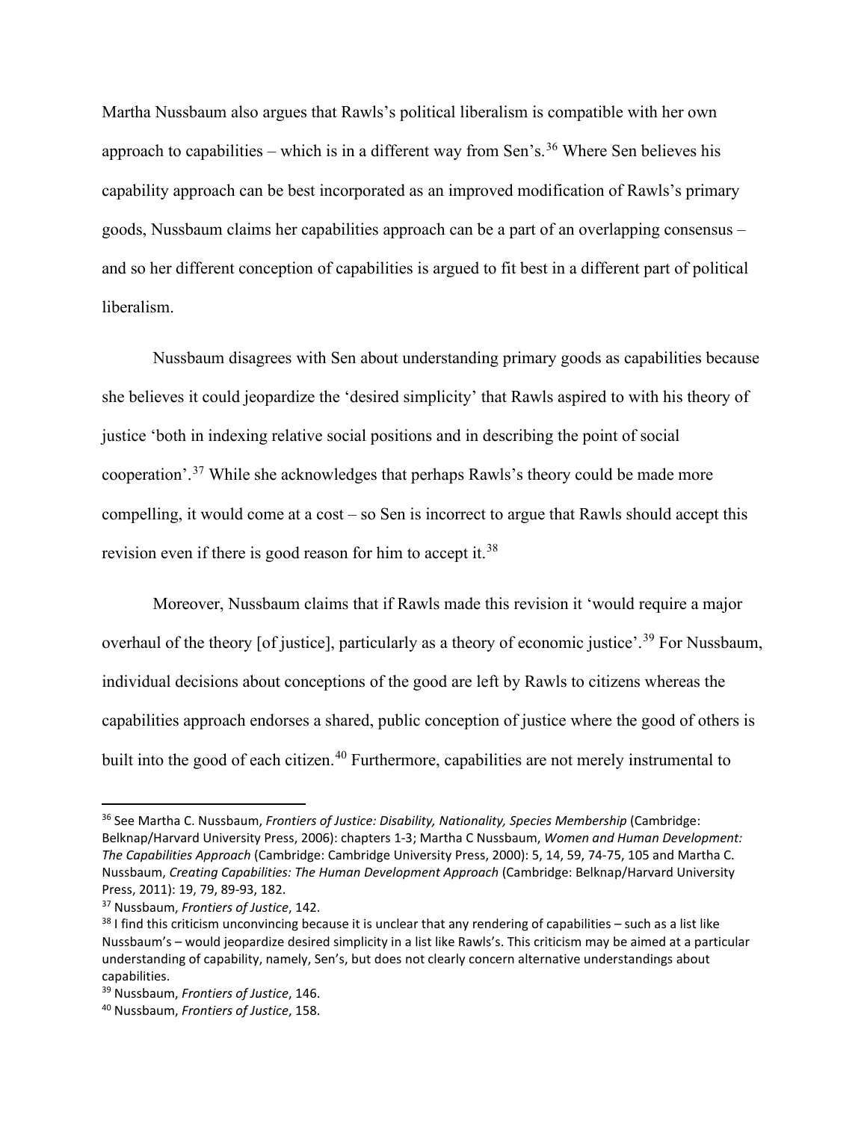Martha Nussbaum also argues that Rawls's political liberalism is compatible with her own approach to capabilities – which is in a different way from Sen's.<sup>[36](#page-10-0)</sup> Where Sen believes his capability approach can be best incorporated as an improved modification of Rawls's primary goods, Nussbaum claims her capabilities approach can be a part of an overlapping consensus – and so her different conception of capabilities is argued to fit best in a different part of political liberalism.

Nussbaum disagrees with Sen about understanding primary goods as capabilities because she believes it could jeopardize the 'desired simplicity' that Rawls aspired to with his theory of justice 'both in indexing relative social positions and in describing the point of social cooperation'.[37](#page-10-1) While she acknowledges that perhaps Rawls's theory could be made more compelling, it would come at a cost – so Sen is incorrect to argue that Rawls should accept this revision even if there is good reason for him to accept it.<sup>[38](#page-10-2)</sup>

Moreover, Nussbaum claims that if Rawls made this revision it 'would require a major overhaul of the theory [of justice], particularly as a theory of economic justice'.<sup>[39](#page-10-3)</sup> For Nussbaum, individual decisions about conceptions of the good are left by Rawls to citizens whereas the capabilities approach endorses a shared, public conception of justice where the good of others is built into the good of each citizen.<sup>[40](#page-10-4)</sup> Furthermore, capabilities are not merely instrumental to

<span id="page-10-0"></span><sup>36</sup> See Martha C. Nussbaum, *Frontiers of Justice: Disability, Nationality, Species Membership* (Cambridge: Belknap/Harvard University Press, 2006): chapters 1-3; Martha C Nussbaum, *Women and Human Development: The Capabilities Approach* (Cambridge: Cambridge University Press, 2000): 5, 14, 59, 74-75, 105 and Martha C. Nussbaum, *Creating Capabilities: The Human Development Approach* (Cambridge: Belknap/Harvard University Press, 2011): 19, 79, 89-93, 182.

<span id="page-10-1"></span><sup>37</sup> Nussbaum, *Frontiers of Justice*, 142.

<span id="page-10-2"></span> $38$  I find this criticism unconvincing because it is unclear that any rendering of capabilities – such as a list like Nussbaum's – would jeopardize desired simplicity in a list like Rawls's. This criticism may be aimed at a particular understanding of capability, namely, Sen's, but does not clearly concern alternative understandings about capabilities.

<span id="page-10-3"></span><sup>39</sup> Nussbaum, *Frontiers of Justice*, 146.

<span id="page-10-4"></span><sup>40</sup> Nussbaum, *Frontiers of Justice*, 158.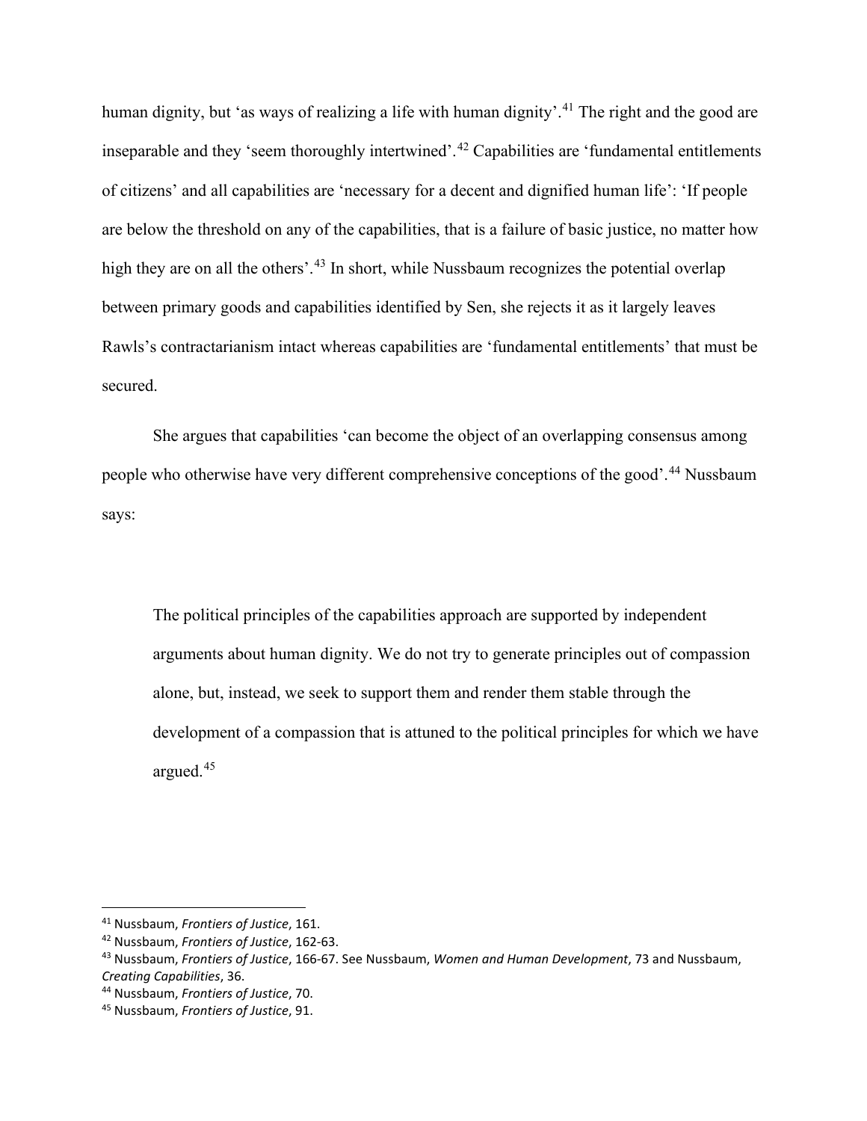human dignity, but 'as ways of realizing a life with human dignity'.<sup>[41](#page-11-0)</sup> The right and the good are inseparable and they 'seem thoroughly intertwined'.[42](#page-11-1) Capabilities are 'fundamental entitlements of citizens' and all capabilities are 'necessary for a decent and dignified human life': 'If people are below the threshold on any of the capabilities, that is a failure of basic justice, no matter how high they are on all the others'.<sup>[43](#page-11-2)</sup> In short, while Nussbaum recognizes the potential overlap between primary goods and capabilities identified by Sen, she rejects it as it largely leaves Rawls's contractarianism intact whereas capabilities are 'fundamental entitlements' that must be secured.

She argues that capabilities 'can become the object of an overlapping consensus among people who otherwise have very different comprehensive conceptions of the good'.[44](#page-11-3) Nussbaum says:

The political principles of the capabilities approach are supported by independent arguments about human dignity. We do not try to generate principles out of compassion alone, but, instead, we seek to support them and render them stable through the development of a compassion that is attuned to the political principles for which we have argued.[45](#page-11-4)

<span id="page-11-0"></span><sup>41</sup> Nussbaum, *Frontiers of Justice*, 161.

<span id="page-11-1"></span><sup>42</sup> Nussbaum, *Frontiers of Justice*, 162-63.

<span id="page-11-2"></span><sup>43</sup> Nussbaum, *Frontiers of Justice*, 166-67. See Nussbaum, *Women and Human Development*, 73 and Nussbaum, *Creating Capabilities*, 36.

<span id="page-11-3"></span><sup>44</sup> Nussbaum, *Frontiers of Justice*, 70.

<span id="page-11-4"></span><sup>45</sup> Nussbaum, *Frontiers of Justice*, 91.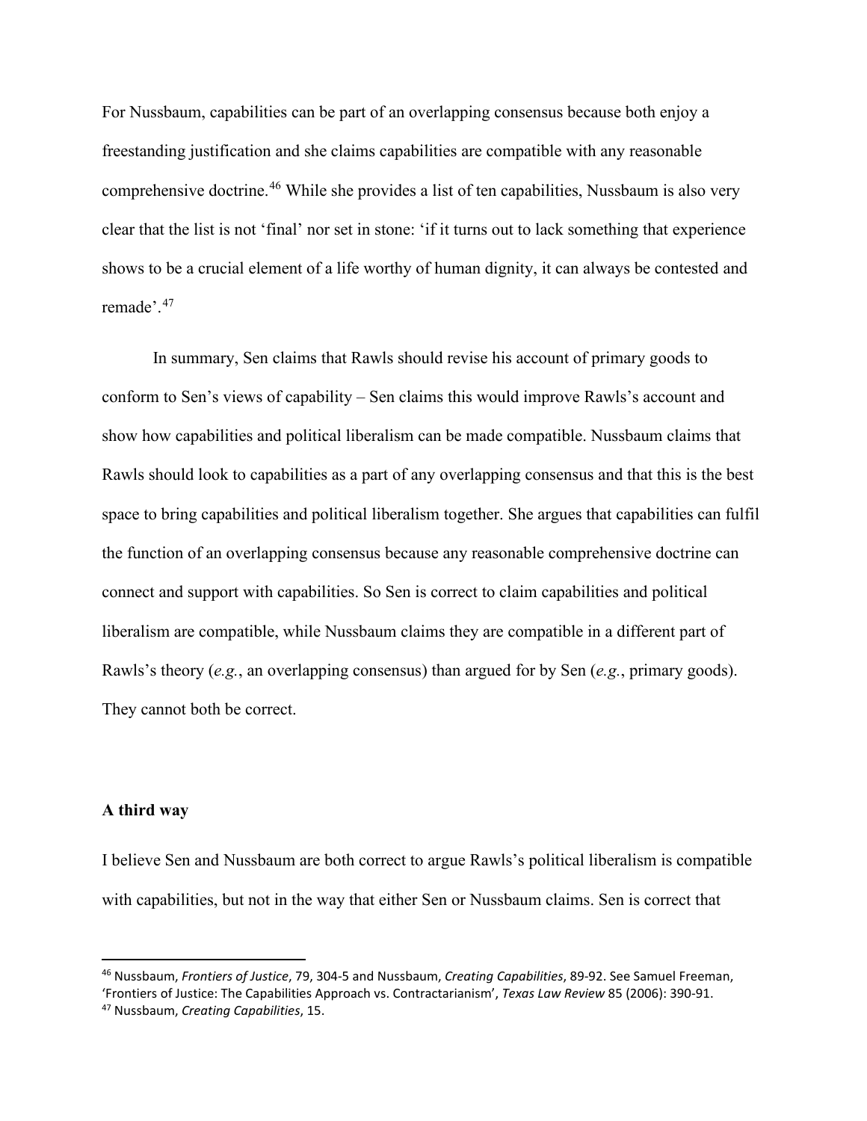For Nussbaum, capabilities can be part of an overlapping consensus because both enjoy a freestanding justification and she claims capabilities are compatible with any reasonable comprehensive doctrine.[46](#page-12-0) While she provides a list of ten capabilities, Nussbaum is also very clear that the list is not 'final' nor set in stone: 'if it turns out to lack something that experience shows to be a crucial element of a life worthy of human dignity, it can always be contested and remade'.[47](#page-12-1)

In summary, Sen claims that Rawls should revise his account of primary goods to conform to Sen's views of capability – Sen claims this would improve Rawls's account and show how capabilities and political liberalism can be made compatible. Nussbaum claims that Rawls should look to capabilities as a part of any overlapping consensus and that this is the best space to bring capabilities and political liberalism together. She argues that capabilities can fulfil the function of an overlapping consensus because any reasonable comprehensive doctrine can connect and support with capabilities. So Sen is correct to claim capabilities and political liberalism are compatible, while Nussbaum claims they are compatible in a different part of Rawls's theory (*e.g.*, an overlapping consensus) than argued for by Sen (*e.g.*, primary goods). They cannot both be correct.

### **A third way**

I believe Sen and Nussbaum are both correct to argue Rawls's political liberalism is compatible with capabilities, but not in the way that either Sen or Nussbaum claims. Sen is correct that

<span id="page-12-1"></span><span id="page-12-0"></span><sup>46</sup> Nussbaum, *Frontiers of Justice*, 79, 304-5 and Nussbaum, *Creating Capabilities*, 89-92. See Samuel Freeman, 'Frontiers of Justice: The Capabilities Approach vs. Contractarianism', *Texas Law Review* 85 (2006): 390-91. <sup>47</sup> Nussbaum, *Creating Capabilities*, 15.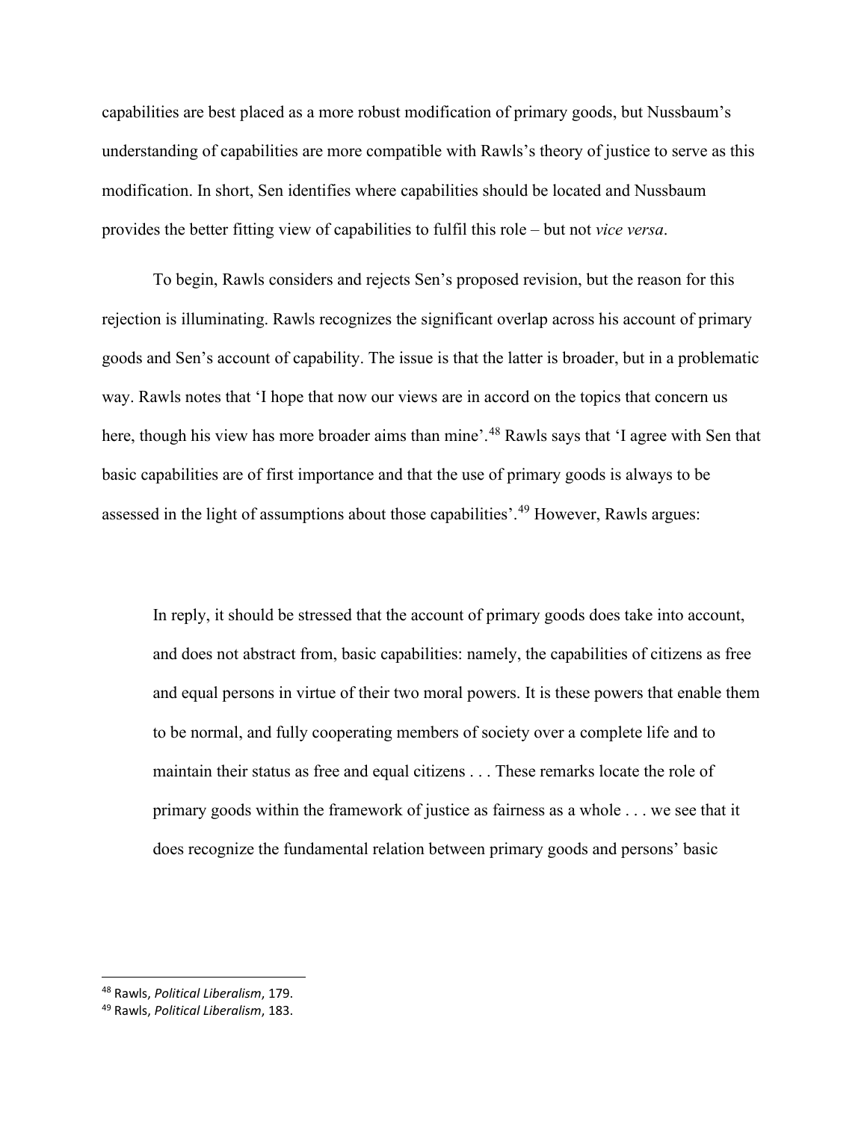capabilities are best placed as a more robust modification of primary goods, but Nussbaum's understanding of capabilities are more compatible with Rawls's theory of justice to serve as this modification. In short, Sen identifies where capabilities should be located and Nussbaum provides the better fitting view of capabilities to fulfil this role – but not *vice versa*.

To begin, Rawls considers and rejects Sen's proposed revision, but the reason for this rejection is illuminating. Rawls recognizes the significant overlap across his account of primary goods and Sen's account of capability. The issue is that the latter is broader, but in a problematic way. Rawls notes that 'I hope that now our views are in accord on the topics that concern us here, though his view has more broader aims than mine'.<sup>[48](#page-13-0)</sup> Rawls says that 'I agree with Sen that basic capabilities are of first importance and that the use of primary goods is always to be assessed in the light of assumptions about those capabilities'.<sup>[49](#page-13-1)</sup> However, Rawls argues:

In reply, it should be stressed that the account of primary goods does take into account, and does not abstract from, basic capabilities: namely, the capabilities of citizens as free and equal persons in virtue of their two moral powers. It is these powers that enable them to be normal, and fully cooperating members of society over a complete life and to maintain their status as free and equal citizens . . . These remarks locate the role of primary goods within the framework of justice as fairness as a whole . . . we see that it does recognize the fundamental relation between primary goods and persons' basic

<span id="page-13-0"></span><sup>48</sup> Rawls, *Political Liberalism*, 179.

<span id="page-13-1"></span><sup>49</sup> Rawls, *Political Liberalism*, 183.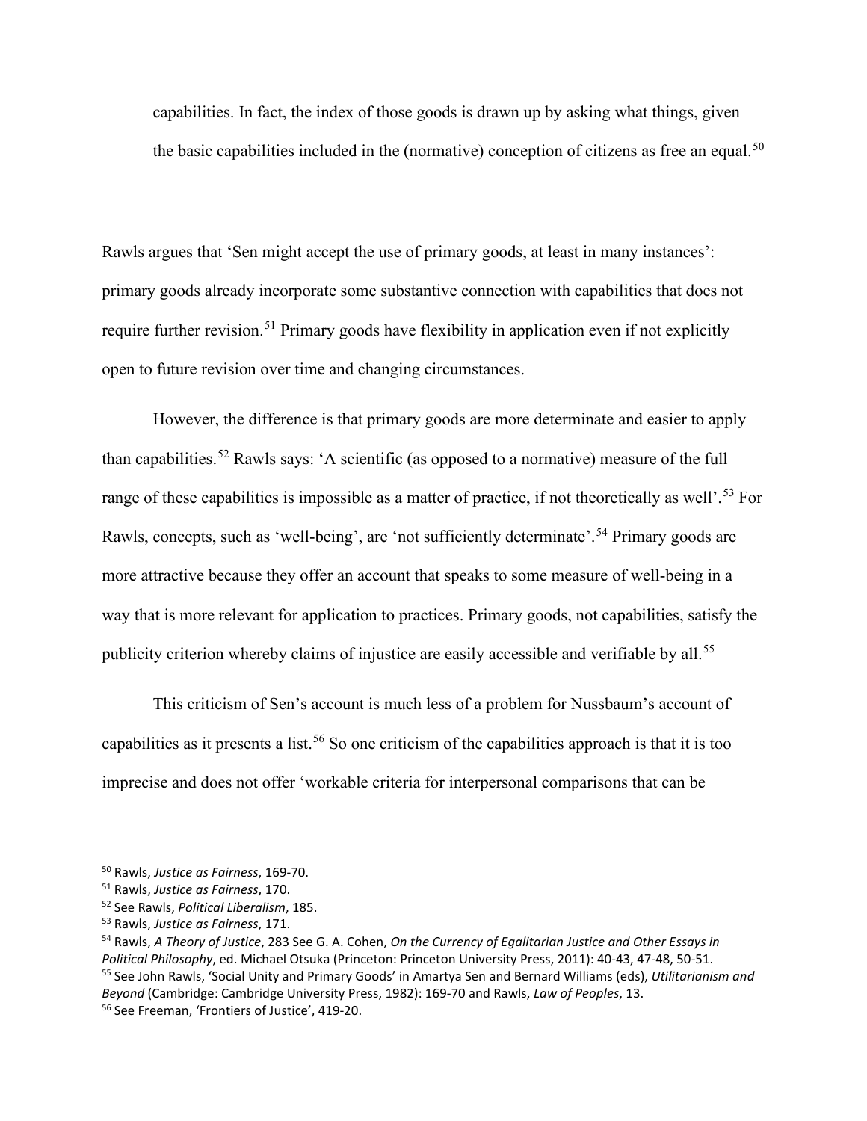capabilities. In fact, the index of those goods is drawn up by asking what things, given the basic capabilities included in the (normative) conception of citizens as free an equal.<sup>[50](#page-14-0)</sup>

Rawls argues that 'Sen might accept the use of primary goods, at least in many instances': primary goods already incorporate some substantive connection with capabilities that does not require further revision.<sup>[51](#page-14-1)</sup> Primary goods have flexibility in application even if not explicitly open to future revision over time and changing circumstances.

However, the difference is that primary goods are more determinate and easier to apply than capabilities.[52](#page-14-2) Rawls says: 'A scientific (as opposed to a normative) measure of the full range of these capabilities is impossible as a matter of practice, if not theoretically as well'.<sup>[53](#page-14-3)</sup> For Rawls, concepts, such as 'well-being', are 'not sufficiently determinate'.<sup>[54](#page-14-4)</sup> Primary goods are more attractive because they offer an account that speaks to some measure of well-being in a way that is more relevant for application to practices. Primary goods, not capabilities, satisfy the publicity criterion whereby claims of injustice are easily accessible and verifiable by all.<sup>[55](#page-14-5)</sup>

This criticism of Sen's account is much less of a problem for Nussbaum's account of capabilities as it presents a list.[56](#page-14-6) So one criticism of the capabilities approach is that it is too imprecise and does not offer 'workable criteria for interpersonal comparisons that can be

<span id="page-14-0"></span><sup>50</sup> Rawls, *Justice as Fairness*, 169-70.

<span id="page-14-1"></span><sup>51</sup> Rawls, *Justice as Fairness*, 170.

<span id="page-14-2"></span><sup>52</sup> See Rawls, *Political Liberalism*, 185.

<span id="page-14-3"></span><sup>53</sup> Rawls, *Justice as Fairness*, 171.

<span id="page-14-6"></span><span id="page-14-5"></span><span id="page-14-4"></span><sup>54</sup> Rawls, *A Theory of Justice*, 283 See G. A. Cohen, *On the Currency of Egalitarian Justice and Other Essays in Political Philosophy*, ed. Michael Otsuka (Princeton: Princeton University Press, 2011): 40-43, 47-48, 50-51. <sup>55</sup> See John Rawls, 'Social Unity and Primary Goods' in Amartya Sen and Bernard Williams (eds), *Utilitarianism and Beyond* (Cambridge: Cambridge University Press, 1982): 169-70 and Rawls, *Law of Peoples*, 13. <sup>56</sup> See Freeman, 'Frontiers of Justice', 419-20.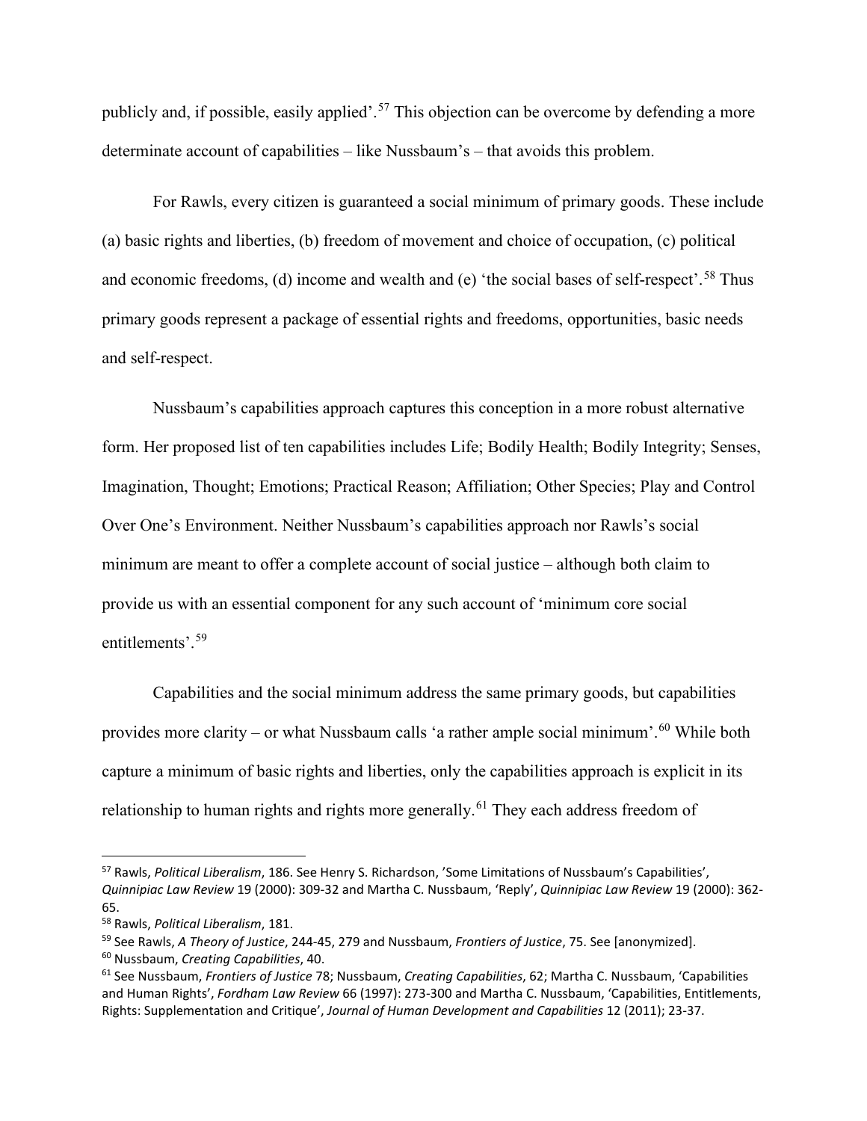publicly and, if possible, easily applied'.<sup>[57](#page-15-0)</sup> This objection can be overcome by defending a more determinate account of capabilities – like Nussbaum's – that avoids this problem.

For Rawls, every citizen is guaranteed a social minimum of primary goods. These include (a) basic rights and liberties, (b) freedom of movement and choice of occupation, (c) political and economic freedoms, (d) income and wealth and (e) 'the social bases of self-respect'.<sup>[58](#page-15-1)</sup> Thus primary goods represent a package of essential rights and freedoms, opportunities, basic needs and self-respect.

Nussbaum's capabilities approach captures this conception in a more robust alternative form. Her proposed list of ten capabilities includes Life; Bodily Health; Bodily Integrity; Senses, Imagination, Thought; Emotions; Practical Reason; Affiliation; Other Species; Play and Control Over One's Environment. Neither Nussbaum's capabilities approach nor Rawls's social minimum are meant to offer a complete account of social justice – although both claim to provide us with an essential component for any such account of 'minimum core social entitlements'.[59](#page-15-2)

Capabilities and the social minimum address the same primary goods, but capabilities provides more clarity – or what Nussbaum calls 'a rather ample social minimum'.[60](#page-15-3) While both capture a minimum of basic rights and liberties, only the capabilities approach is explicit in its relationship to human rights and rights more generally.<sup>[61](#page-15-4)</sup> They each address freedom of

<span id="page-15-0"></span><sup>57</sup> Rawls, *Political Liberalism*, 186. See Henry S. Richardson, 'Some Limitations of Nussbaum's Capabilities', *Quinnipiac Law Review* 19 (2000): 309-32 and Martha C. Nussbaum, 'Reply', *Quinnipiac Law Review* 19 (2000): 362- 65.

<span id="page-15-1"></span><sup>58</sup> Rawls, *Political Liberalism*, 181.

<span id="page-15-2"></span><sup>59</sup> See Rawls, *A Theory of Justice*, 244-45, 279 and Nussbaum, *Frontiers of Justice*, 75. See [anonymized].

<span id="page-15-3"></span><sup>60</sup> Nussbaum, *Creating Capabilities*, 40.

<span id="page-15-4"></span><sup>61</sup> See Nussbaum, *Frontiers of Justice* 78; Nussbaum, *Creating Capabilities*, 62; Martha C. Nussbaum, 'Capabilities and Human Rights', *Fordham Law Review* 66 (1997): 273-300 and Martha C. Nussbaum, 'Capabilities, Entitlements, Rights: Supplementation and Critique', *Journal of Human Development and Capabilities* 12 (2011); 23-37.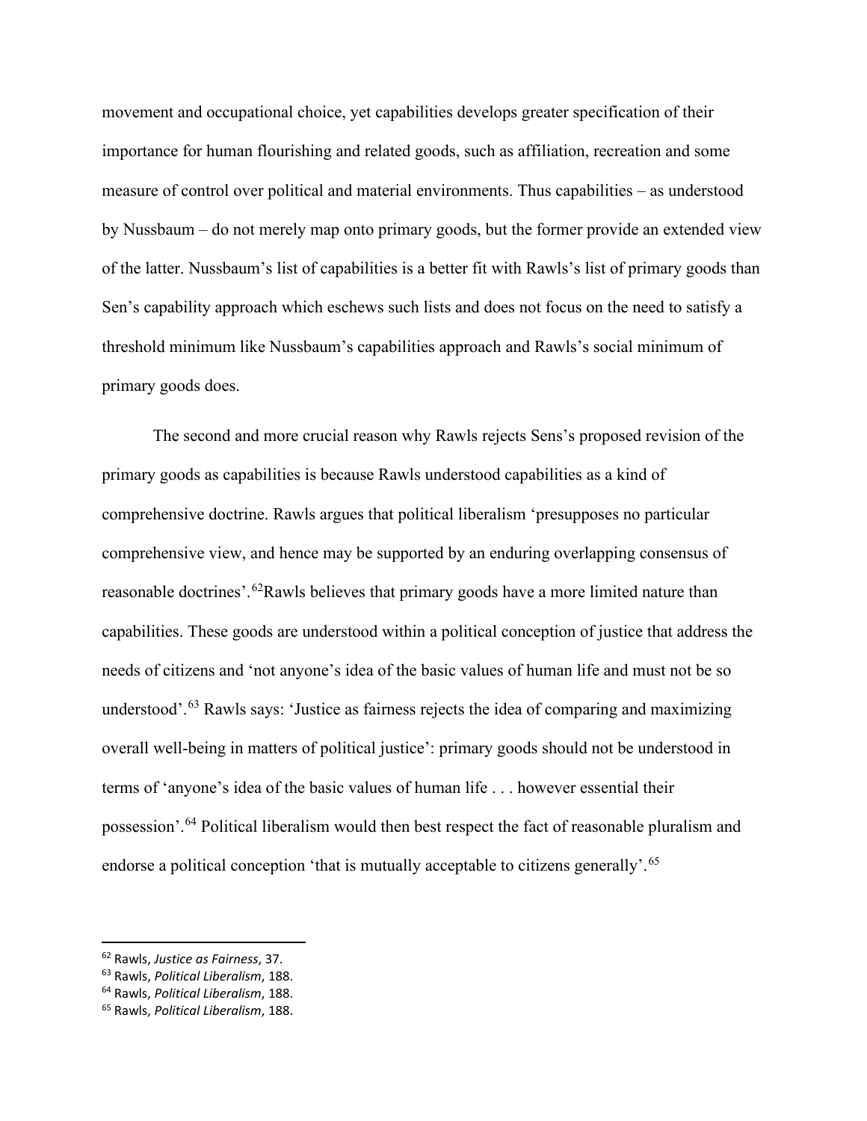movement and occupational choice, yet capabilities develops greater specification of their importance for human flourishing and related goods, such as affiliation, recreation and some measure of control over political and material environments. Thus capabilities – as understood by Nussbaum – do not merely map onto primary goods, but the former provide an extended view of the latter. Nussbaum's list of capabilities is a better fit with Rawls's list of primary goods than Sen's capability approach which eschews such lists and does not focus on the need to satisfy a threshold minimum like Nussbaum's capabilities approach and Rawls's social minimum of primary goods does.

The second and more crucial reason why Rawls rejects Sens's proposed revision of the primary goods as capabilities is because Rawls understood capabilities as a kind of comprehensive doctrine. Rawls argues that political liberalism 'presupposes no particular comprehensive view, and hence may be supported by an enduring overlapping consensus of reasonable doctrines'.<sup>[62](#page-16-0)</sup>Rawls believes that primary goods have a more limited nature than capabilities. These goods are understood within a political conception of justice that address the needs of citizens and 'not anyone's idea of the basic values of human life and must not be so understood'.<sup>[63](#page-16-1)</sup> Rawls says: 'Justice as fairness rejects the idea of comparing and maximizing overall well-being in matters of political justice': primary goods should not be understood in terms of 'anyone's idea of the basic values of human life . . . however essential their possession'.[64](#page-16-2) Political liberalism would then best respect the fact of reasonable pluralism and endorse a political conception 'that is mutually acceptable to citizens generally'.<sup>[65](#page-16-3)</sup>

<span id="page-16-0"></span><sup>62</sup> Rawls, *Justice as Fairness*, 37.

<span id="page-16-1"></span><sup>63</sup> Rawls, *Political Liberalism*, 188.

<span id="page-16-2"></span><sup>64</sup> Rawls, *Political Liberalism*, 188.

<span id="page-16-3"></span><sup>65</sup> Rawls, *Political Liberalism*, 188.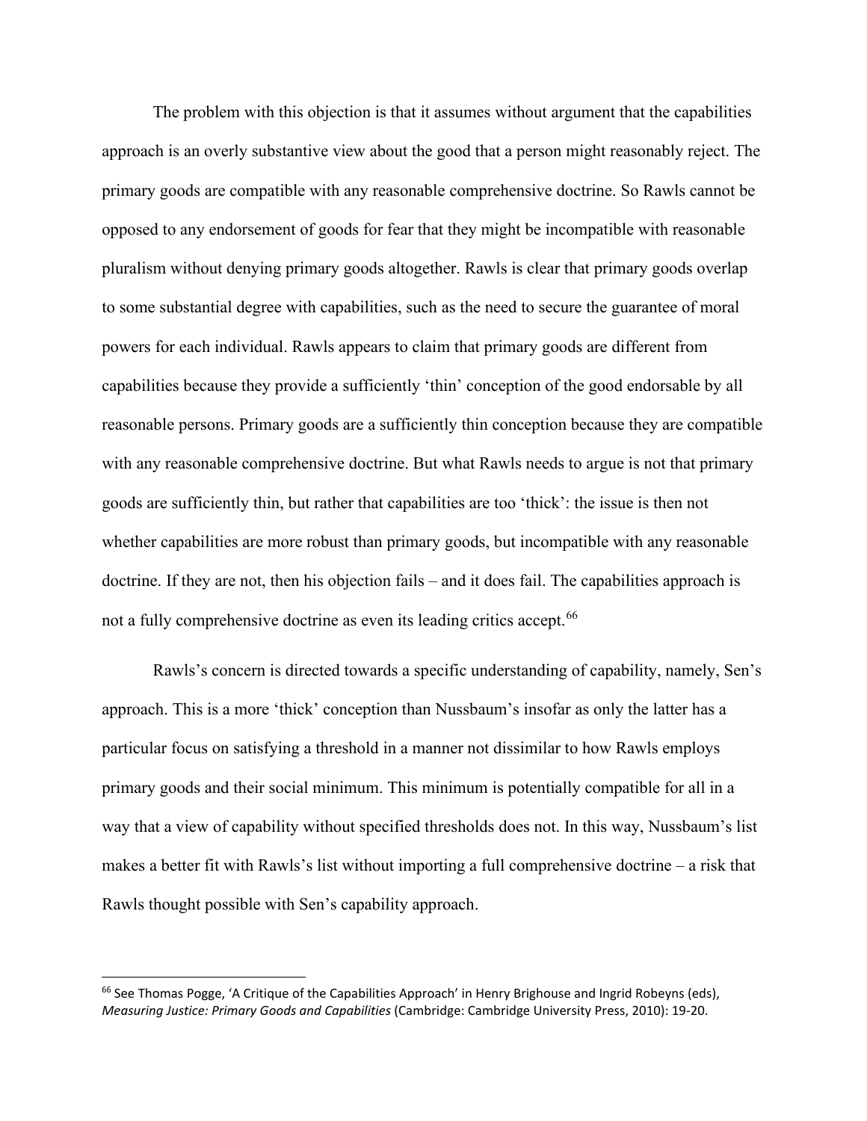The problem with this objection is that it assumes without argument that the capabilities approach is an overly substantive view about the good that a person might reasonably reject. The primary goods are compatible with any reasonable comprehensive doctrine. So Rawls cannot be opposed to any endorsement of goods for fear that they might be incompatible with reasonable pluralism without denying primary goods altogether. Rawls is clear that primary goods overlap to some substantial degree with capabilities, such as the need to secure the guarantee of moral powers for each individual. Rawls appears to claim that primary goods are different from capabilities because they provide a sufficiently 'thin' conception of the good endorsable by all reasonable persons. Primary goods are a sufficiently thin conception because they are compatible with any reasonable comprehensive doctrine. But what Rawls needs to argue is not that primary goods are sufficiently thin, but rather that capabilities are too 'thick': the issue is then not whether capabilities are more robust than primary goods, but incompatible with any reasonable doctrine. If they are not, then his objection fails – and it does fail. The capabilities approach is not a fully comprehensive doctrine as even its leading critics accept.<sup>[66](#page-17-0)</sup>

Rawls's concern is directed towards a specific understanding of capability, namely, Sen's approach. This is a more 'thick' conception than Nussbaum's insofar as only the latter has a particular focus on satisfying a threshold in a manner not dissimilar to how Rawls employs primary goods and their social minimum. This minimum is potentially compatible for all in a way that a view of capability without specified thresholds does not. In this way, Nussbaum's list makes a better fit with Rawls's list without importing a full comprehensive doctrine – a risk that Rawls thought possible with Sen's capability approach.

<span id="page-17-0"></span> $66$  See Thomas Pogge, 'A Critique of the Capabilities Approach' in Henry Brighouse and Ingrid Robeyns (eds), *Measuring Justice: Primary Goods and Capabilities* (Cambridge: Cambridge University Press, 2010): 19-20.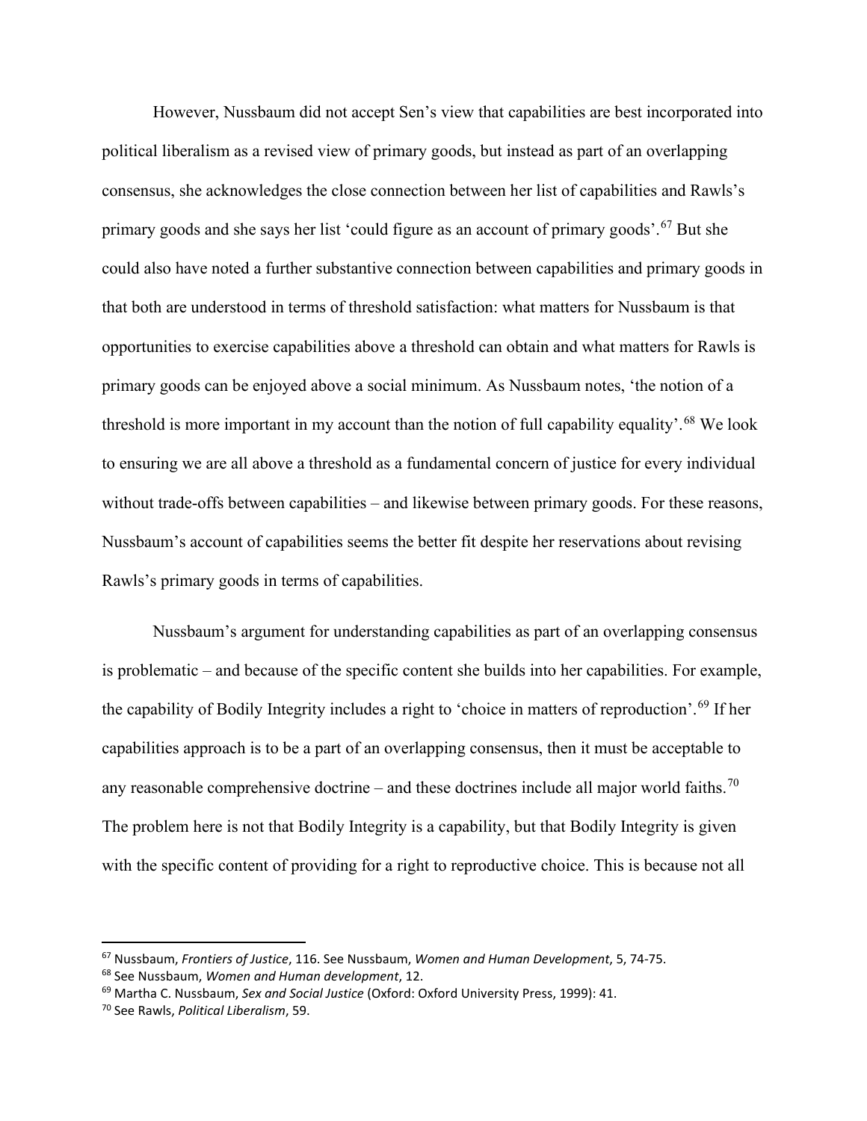However, Nussbaum did not accept Sen's view that capabilities are best incorporated into political liberalism as a revised view of primary goods, but instead as part of an overlapping consensus, she acknowledges the close connection between her list of capabilities and Rawls's primary goods and she says her list 'could figure as an account of primary goods'.<sup>[67](#page-18-0)</sup> But she could also have noted a further substantive connection between capabilities and primary goods in that both are understood in terms of threshold satisfaction: what matters for Nussbaum is that opportunities to exercise capabilities above a threshold can obtain and what matters for Rawls is primary goods can be enjoyed above a social minimum. As Nussbaum notes, 'the notion of a threshold is more important in my account than the notion of full capability equality'.<sup>[68](#page-18-1)</sup> We look to ensuring we are all above a threshold as a fundamental concern of justice for every individual without trade-offs between capabilities – and likewise between primary goods. For these reasons, Nussbaum's account of capabilities seems the better fit despite her reservations about revising Rawls's primary goods in terms of capabilities.

Nussbaum's argument for understanding capabilities as part of an overlapping consensus is problematic – and because of the specific content she builds into her capabilities. For example, the capability of Bodily Integrity includes a right to 'choice in matters of reproduction'.[69](#page-18-2) If her capabilities approach is to be a part of an overlapping consensus, then it must be acceptable to any reasonable comprehensive doctrine – and these doctrines include all major world faiths.<sup>[70](#page-18-3)</sup> The problem here is not that Bodily Integrity is a capability, but that Bodily Integrity is given with the specific content of providing for a right to reproductive choice. This is because not all

<span id="page-18-0"></span><sup>67</sup> Nussbaum, *Frontiers of Justice*, 116. See Nussbaum, *Women and Human Development*, 5, 74-75.

<span id="page-18-1"></span><sup>68</sup> See Nussbaum, *Women and Human development*, 12.

<span id="page-18-2"></span><sup>69</sup> Martha C. Nussbaum, *Sex and Social Justice* (Oxford: Oxford University Press, 1999): 41.

<span id="page-18-3"></span><sup>70</sup> See Rawls, *Political Liberalism*, 59.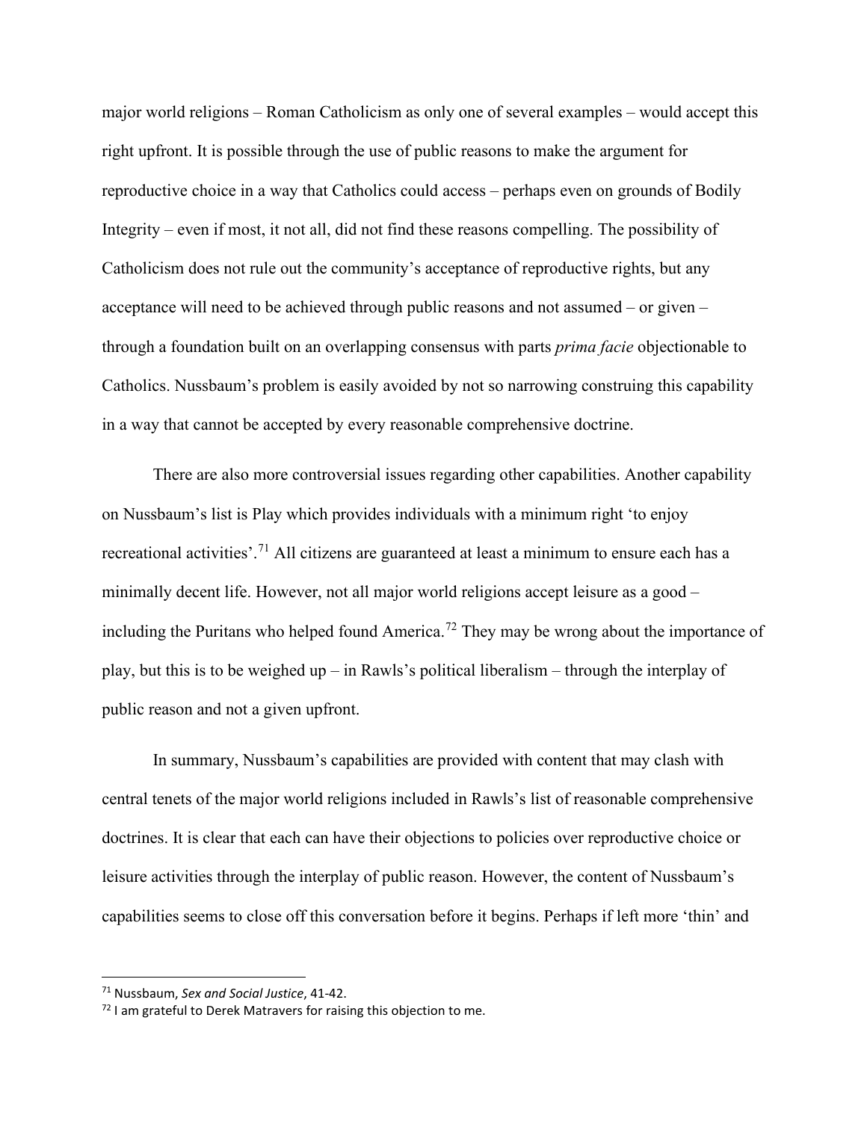major world religions – Roman Catholicism as only one of several examples – would accept this right upfront. It is possible through the use of public reasons to make the argument for reproductive choice in a way that Catholics could access – perhaps even on grounds of Bodily Integrity – even if most, it not all, did not find these reasons compelling. The possibility of Catholicism does not rule out the community's acceptance of reproductive rights, but any acceptance will need to be achieved through public reasons and not assumed – or given – through a foundation built on an overlapping consensus with parts *prima facie* objectionable to Catholics. Nussbaum's problem is easily avoided by not so narrowing construing this capability in a way that cannot be accepted by every reasonable comprehensive doctrine.

There are also more controversial issues regarding other capabilities. Another capability on Nussbaum's list is Play which provides individuals with a minimum right 'to enjoy recreational activities'.[71](#page-19-0) All citizens are guaranteed at least a minimum to ensure each has a minimally decent life. However, not all major world religions accept leisure as a good – including the Puritans who helped found America.<sup>[72](#page-19-1)</sup> They may be wrong about the importance of play, but this is to be weighed up – in Rawls's political liberalism – through the interplay of public reason and not a given upfront.

In summary, Nussbaum's capabilities are provided with content that may clash with central tenets of the major world religions included in Rawls's list of reasonable comprehensive doctrines. It is clear that each can have their objections to policies over reproductive choice or leisure activities through the interplay of public reason. However, the content of Nussbaum's capabilities seems to close off this conversation before it begins. Perhaps if left more 'thin' and

<span id="page-19-0"></span><sup>71</sup> Nussbaum, *Sex and Social Justice*, 41-42.

<span id="page-19-1"></span> $72$  I am grateful to Derek Matravers for raising this objection to me.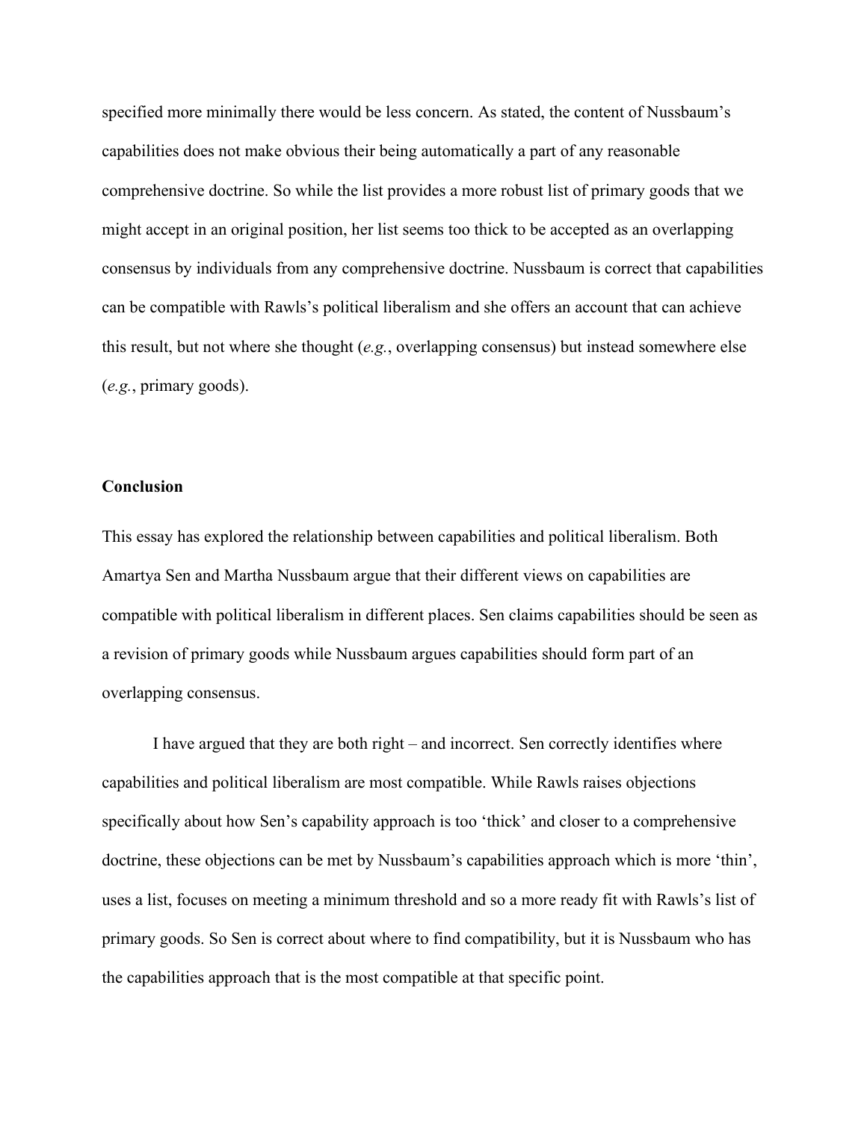specified more minimally there would be less concern. As stated, the content of Nussbaum's capabilities does not make obvious their being automatically a part of any reasonable comprehensive doctrine. So while the list provides a more robust list of primary goods that we might accept in an original position, her list seems too thick to be accepted as an overlapping consensus by individuals from any comprehensive doctrine. Nussbaum is correct that capabilities can be compatible with Rawls's political liberalism and she offers an account that can achieve this result, but not where she thought (*e.g.*, overlapping consensus) but instead somewhere else (*e.g.*, primary goods).

### **Conclusion**

This essay has explored the relationship between capabilities and political liberalism. Both Amartya Sen and Martha Nussbaum argue that their different views on capabilities are compatible with political liberalism in different places. Sen claims capabilities should be seen as a revision of primary goods while Nussbaum argues capabilities should form part of an overlapping consensus.

I have argued that they are both right – and incorrect. Sen correctly identifies where capabilities and political liberalism are most compatible. While Rawls raises objections specifically about how Sen's capability approach is too 'thick' and closer to a comprehensive doctrine, these objections can be met by Nussbaum's capabilities approach which is more 'thin', uses a list, focuses on meeting a minimum threshold and so a more ready fit with Rawls's list of primary goods. So Sen is correct about where to find compatibility, but it is Nussbaum who has the capabilities approach that is the most compatible at that specific point.